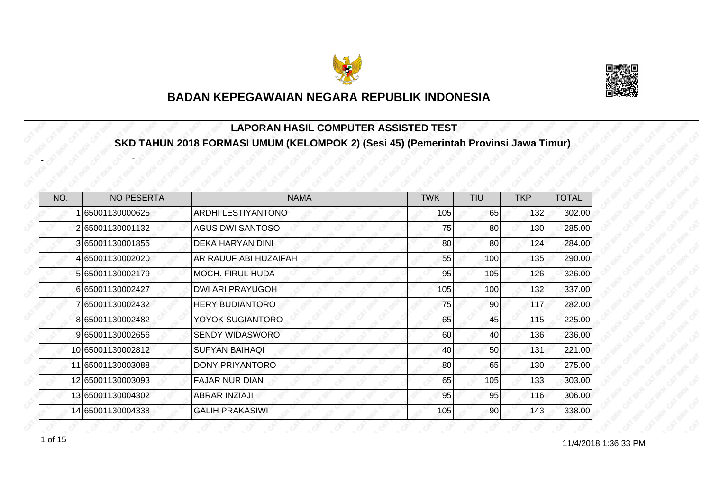



#### **LAPORAN HASIL COMPUTER ASSISTED TEST SKD TAHUN 2018 FORMASI UMUM (KELOMPOK 2) (Sesi 45) (Pemerintah Provinsi Jawa Timur)**

| NO. | <b>NO PESERTA</b> | <b>NAMA</b>             | <b>TWK</b> | <b>TIU</b>      | <b>TKP</b> | <b>TOTAL</b> |
|-----|-------------------|-------------------------|------------|-----------------|------------|--------------|
|     | 65001130000625    | ARDHI LESTIYANTONO      | 105        | 65              | 132        | 302.00       |
|     | 265001130001132   | <b>AGUS DWI SANTOSO</b> | 75         | 80              | 130        | 285.00       |
|     | 3 65001130001855  | DEKA HARYAN DINI        | 80         | 80 <sup>1</sup> | 124        | 284.00       |
|     | 4 65001130002020  | AR RAUUF ABI HUZAIFAH   | 55         | 100             | 135        | 290.00       |
|     | 565001130002179   | MOCH. FIRUL HUDA        | 95         | 105             | 126        | 326.00       |
|     | 665001130002427   | <b>DWI ARI PRAYUGOH</b> | 105        | 100             | 132        | 337.00       |
|     | 7 65001130002432  | <b>HERY BUDIANTORO</b>  | 75         | 90              | 117        | 282.00       |
|     | 8 65001130002482  | YOYOK SUGIANTORO        | 65         | 45              | 115        | 225.00       |
|     | 9 65001130002656  | <b>SENDY WIDASWORO</b>  | 60         | 40              | 136        | 236.00       |
|     | 10 65001130002812 | <b>SUFYAN BAIHAQI</b>   | 40         | 50              | 131        | 221.00       |
|     | 11 65001130003088 | <b>DONY PRIYANTORO</b>  | 80         | 65              | 130        | 275.00       |
|     | 12 65001130003093 | <b>FAJAR NUR DIAN</b>   | 65         | 105             | 133        | 303.00       |
|     | 13 65001130004302 | <b>ABRAR INZIAJI</b>    | 95         | 95              | 116        | 306.00       |
|     | 14 65001130004338 | <b>GALIH PRAKASIWI</b>  | 105        | 90              | 143        | 338.00       |

1 of 15

-

-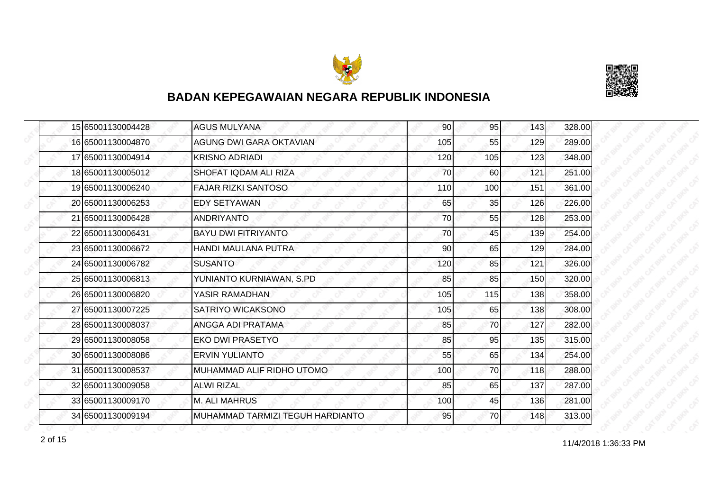



| 15 65001130004428 | <b>AGUS MULYANA</b>              | 90  | 95  | 143 | 328.00 |
|-------------------|----------------------------------|-----|-----|-----|--------|
| 16 65001130004870 | <b>AGUNG DWI GARA OKTAVIAN</b>   | 105 | 55  | 129 | 289.00 |
| 17 65001130004914 | <b>KRISNO ADRIADI</b>            | 120 | 105 | 123 | 348.00 |
| 18 65001130005012 | SHOFAT IQDAM ALI RIZA            | 70  | 60  | 121 | 251.00 |
| 19 65001130006240 | <b>FAJAR RIZKI SANTOSO</b>       | 110 | 100 | 151 | 361.00 |
| 20 65001130006253 | <b>EDY SETYAWAN</b>              | 65  | 35  | 126 | 226.00 |
| 21 65001130006428 | <b>ANDRIYANTO</b>                | 70  | 55  | 128 | 253.00 |
| 22 65001130006431 | <b>BAYU DWI FITRIYANTO</b>       | 70  | 45  | 139 | 254.00 |
| 23 65001130006672 | <b>HANDI MAULANA PUTRA</b>       | 90  | 65  | 129 | 284.00 |
| 24 65001130006782 | <b>SUSANTO</b>                   | 120 | 85  | 121 | 326.00 |
| 25 65001130006813 | YUNIANTO KURNIAWAN, S.PD         | 85  | 85  | 150 | 320.00 |
| 26 65001130006820 | YASIR RAMADHAN                   | 105 | 115 | 138 | 358.00 |
| 27 65001130007225 | SATRIYO WICAKSONO                | 105 | 65  | 138 | 308.00 |
| 28 65001130008037 | ANGGA ADI PRATAMA                | 85  | 70  | 127 | 282.00 |
| 29 65001130008058 | <b>EKO DWI PRASETYO</b>          | 85  | 95  | 135 | 315.00 |
| 30 65001130008086 | <b>ERVIN YULIANTO</b>            | 55  | 65  | 134 | 254.00 |
| 31 65001130008537 | MUHAMMAD ALIF RIDHO UTOMO        | 100 | 70  | 118 | 288.00 |
| 32 65001130009058 | <b>ALWI RIZAL</b>                | 85  | 65  | 137 | 287.00 |
| 33 65001130009170 | <b>M. ALI MAHRUS</b>             | 100 | 45  | 136 | 281.00 |
| 34 65001130009194 | MUHAMMAD TARMIZI TEGUH HARDIANTO | 95  | 70  | 148 | 313.00 |

11/4/2018 1:36:33 PM 2 of 15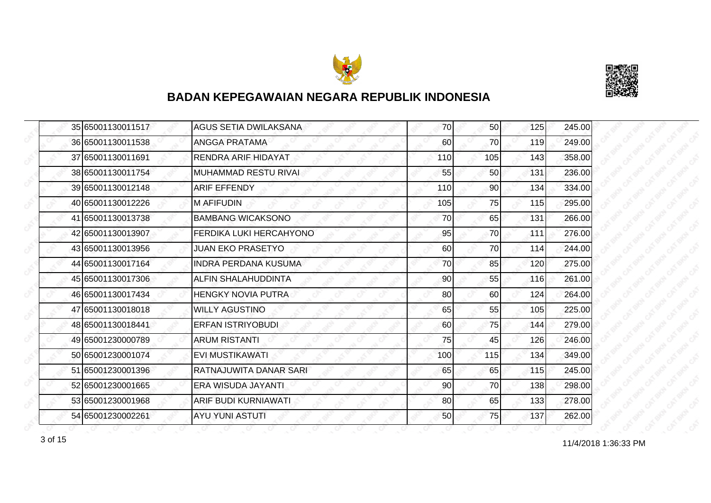



|  | 35 65001130011517 | <b>AGUS SETIA DWILAKSANA</b> | 70  | 50  | 125 | 245.00 |
|--|-------------------|------------------------------|-----|-----|-----|--------|
|  | 36 65001130011538 | <b>ANGGA PRATAMA</b>         | 60  | 70  | 119 | 249.00 |
|  | 37 65001130011691 | <b>RENDRA ARIF HIDAYAT</b>   | 110 | 105 | 143 | 358.00 |
|  | 38 65001130011754 | <b>MUHAMMAD RESTU RIVAI</b>  | 55  | 50  | 131 | 236.00 |
|  | 39 65001130012148 | <b>ARIF EFFENDY</b>          | 110 | 90  | 134 | 334.00 |
|  | 40 65001130012226 | <b>M AFIFUDIN</b>            | 105 | 75  | 115 | 295.00 |
|  | 41 65001130013738 | <b>BAMBANG WICAKSONO</b>     | 70  | 65  | 131 | 266.00 |
|  | 42 65001130013907 | FERDIKA LUKI HERCAHYONO      | 95  | 70  | 111 | 276.00 |
|  | 43 65001130013956 | <b>JUAN EKO PRASETYO</b>     | 60  | 70  | 114 | 244.00 |
|  | 44 65001130017164 | <b>INDRA PERDANA KUSUMA</b>  | 70  | 85  | 120 | 275.00 |
|  | 45 65001130017306 | ALFIN SHALAHUDDINTA          | 90  | 55  | 116 | 261.00 |
|  | 46 65001130017434 | <b>HENGKY NOVIA PUTRA</b>    | 80  | 60  | 124 | 264.00 |
|  | 47 65001130018018 | <b>WILLY AGUSTINO</b>        | 65  | 55  | 105 | 225.00 |
|  | 48 65001130018441 | <b>ERFAN ISTRIYOBUDI</b>     | 60  | 75  | 144 | 279.00 |
|  | 49 65001230000789 | <b>ARUM RISTANTI</b>         | 75  | 45  | 126 | 246.00 |
|  | 50 65001230001074 | <b>EVI MUSTIKAWATI</b>       | 100 | 115 | 134 | 349.00 |
|  | 51 65001230001396 | RATNAJUWITA DANAR SARI       | 65  | 65  | 115 | 245.00 |
|  | 52 65001230001665 | ERA WISUDA JAYANTI           | 90  | 70  | 138 | 298.00 |
|  | 53 65001230001968 | ARIF BUDI KURNIAWATI         | 80  | 65  | 133 | 278.00 |
|  | 54 65001230002261 | <b>AYU YUNI ASTUTI</b>       | 50  | 75  | 137 | 262.00 |

11/4/2018 1:36:33 PM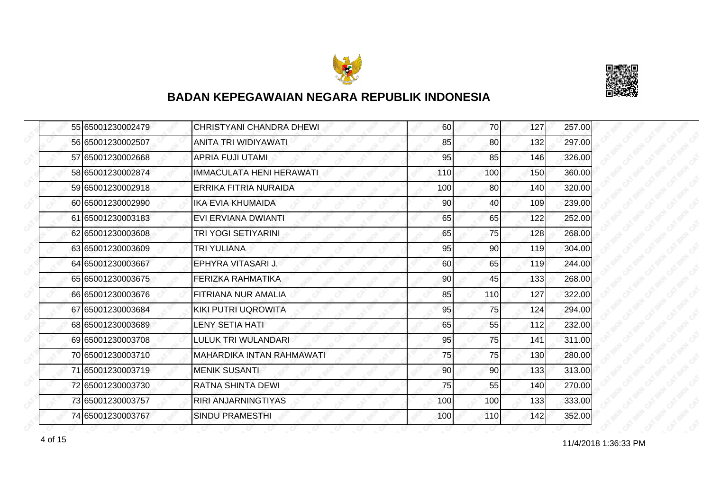



|  | 55 65001230002479 | <b>CHRISTYANI CHANDRA DHEWI</b> | 60  | 70  | 127 | 257.00 |
|--|-------------------|---------------------------------|-----|-----|-----|--------|
|  | 56 65001230002507 | ANITA TRI WIDIYAWATI            | 85  | 80  | 132 | 297.00 |
|  | 57 65001230002668 | APRIA FUJI UTAMI                | 95  | 85  | 146 | 326.00 |
|  | 58 65001230002874 | <b>IMMACULATA HENI HERAWATI</b> | 110 | 100 | 150 | 360.00 |
|  | 59 65001230002918 | ERRIKA FITRIA NURAIDA           | 100 | 80  | 140 | 320.00 |
|  | 60 65001230002990 | <b>IKA EVIA KHUMAIDA</b>        | 90  | 40  | 109 | 239.00 |
|  | 61 65001230003183 | EVI ERVIANA DWIANTI             | 65  | 65  | 122 | 252.00 |
|  | 62 65001230003608 | TRI YOGI SETIYARINI             | 65  | 75  | 128 | 268.00 |
|  | 63 65001230003609 | TRI YULIANA                     | 95  | 90  | 119 | 304.00 |
|  | 64 65001230003667 | EPHYRA VITASARI J.              | 60  | 65  | 119 | 244.00 |
|  | 65 65001230003675 | FERIZKA RAHMATIKA               | 90  | 45  | 133 | 268.00 |
|  | 66 65001230003676 | FITRIANA NUR AMALIA             | 85  | 110 | 127 | 322.00 |
|  | 67 65001230003684 | <b>KIKI PUTRI UQROWITA</b>      | 95  | 75  | 124 | 294.00 |
|  | 68 65001230003689 | <b>LENY SETIA HATI</b>          | 65  | 55  | 112 | 232.00 |
|  | 69 65001230003708 | LULUK TRI WULANDARI             | 95  | 75  | 141 | 311.00 |
|  | 70 65001230003710 | MAHARDIKA INTAN RAHMAWATI       | 75  | 75  | 130 | 280.00 |
|  | 71 65001230003719 | <b>MENIK SUSANTI</b>            | 90  | 90  | 133 | 313.00 |
|  | 72 65001230003730 | RATNA SHINTA DEWI               | 75  | 55  | 140 | 270.00 |
|  | 73 65001230003757 | <b>RIRI ANJARNINGTIYAS</b>      | 100 | 100 | 133 | 333.00 |
|  | 74 65001230003767 | <b>SINDU PRAMESTHI</b>          | 100 | 110 | 142 | 352.00 |

4 of 15 11/4/2018 1:36:33 PM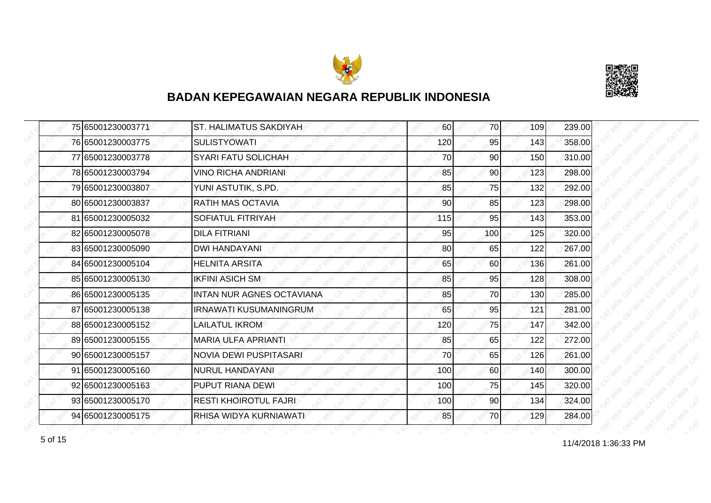



|  | 75 65001230003771 | <b>ST. HALIMATUS SAKDIYAH</b>    | 60  | 70              | 109 | 239.00 |
|--|-------------------|----------------------------------|-----|-----------------|-----|--------|
|  | 76 65001230003775 | <b>SULISTYOWATI</b>              | 120 | 95              | 143 | 358.00 |
|  | 77 65001230003778 | <b>SYARI FATU SOLICHAH</b>       | 70  | 90              | 150 | 310.00 |
|  | 78 65001230003794 | <b>VINO RICHA ANDRIANI</b>       | 85  | 90 <sub>l</sub> | 123 | 298.00 |
|  | 79 65001230003807 | YUNI ASTUTIK, S.PD.              | 85  | 75              | 132 | 292.00 |
|  | 80165001230003837 | RATIH MAS OCTAVIA                | 90  | 85              | 123 | 298.00 |
|  | 81 65001230005032 | <b>SOFIATUL FITRIYAH</b>         | 115 | 95              | 143 | 353.00 |
|  | 82 65001230005078 | <b>DILA FITRIANI</b>             | 95  | 100             | 125 | 320.00 |
|  | 83 65001230005090 | <b>DWI HANDAYANI</b>             | 80  | 65              | 122 | 267.00 |
|  | 84 65001230005104 | <b>HELNITA ARSITA</b>            | 65  | 60I             | 136 | 261.00 |
|  | 85 65001230005130 | <b>IKFINI ASICH SM</b>           | 85  | 95              | 128 | 308.00 |
|  | 86 65001230005135 | <b>INTAN NUR AGNES OCTAVIANA</b> | 85  | 70              | 130 | 285.00 |
|  | 87 65001230005138 | <b>IRNAWATI KUSUMANINGRUM</b>    | 65  | 95              | 121 | 281.00 |
|  | 88 65001230005152 | LAILATUL IKROM                   | 120 | 75              | 147 | 342.00 |
|  | 89 65001230005155 | <b>MARIA ULFA APRIANTI</b>       | 85  | 65              | 122 | 272.00 |
|  | 90 65001230005157 | <b>NOVIA DEWI PUSPITASARI</b>    | 70  | 65              | 126 | 261.00 |
|  | 91 65001230005160 | <b>NURUL HANDAYANI</b>           | 100 | 60              | 140 | 300.00 |
|  | 92 65001230005163 | PUPUT RIANA DEWI                 | 100 | 75              | 145 | 320.00 |
|  | 93 65001230005170 | <b>RESTI KHOIROTUL FAJRI</b>     | 100 | 90              | 134 | 324.00 |
|  | 94 65001230005175 | RHISA WIDYA KURNIAWATI           | 85  | 70I             | 129 | 284.00 |

for the contract of 15 of 15 of 15 of 15 of 16 of 17/4/2018 1:36:33 PM 5 of 15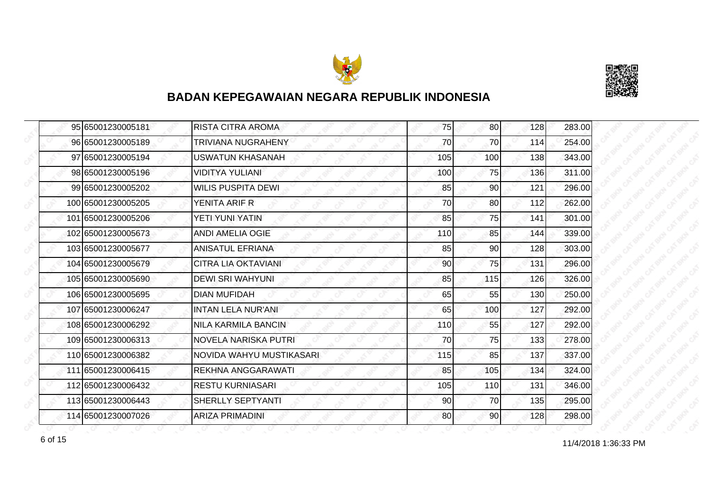



| 95 65001230005181  | <b>RISTA CITRA AROMA</b>   | 75  | 80  | 128 | 283.00 |
|--------------------|----------------------------|-----|-----|-----|--------|
| 96 65001230005189  | TRIVIANA NUGRAHENY         | 70  | 70  | 114 | 254.00 |
| 97 65001230005194  | <b>USWATUN KHASANAH</b>    | 105 | 100 | 138 | 343.00 |
| 98 65001230005196  | <b>VIDITYA YULIANI</b>     | 100 | 75  | 136 | 311.00 |
| 99 65001230005202  | WILIS PUSPITA DEWI         | 85  | 90  | 121 | 296.00 |
| 100 65001230005205 | YENITA ARIF R              | 70  | 80  | 112 | 262.00 |
| 101 65001230005206 | YETI YUNI YATIN            | 85  | 75  | 141 | 301.00 |
| 102 65001230005673 | <b>ANDI AMELIA OGIE</b>    | 110 | 85  | 144 | 339.00 |
| 103 65001230005677 | <b>ANISATUL EFRIANA</b>    | 85  | 90  | 128 | 303.00 |
| 104 65001230005679 | <b>CITRA LIA OKTAVIANI</b> | 90  | 75  | 131 | 296.00 |
| 105 65001230005690 | <b>DEWI SRI WAHYUNI</b>    | 85  | 115 | 126 | 326.00 |
| 106 65001230005695 | <b>DIAN MUFIDAH</b>        | 65  | 55  | 130 | 250.00 |
| 107 65001230006247 | <b>INTAN LELA NUR'ANI</b>  | 65  | 100 | 127 | 292.00 |
| 108 65001230006292 | NILA KARMILA BANCIN        | 110 | 55  | 127 | 292.00 |
| 109 65001230006313 | NOVELA NARISKA PUTRI       | 70  | 75  | 133 | 278.00 |
| 110 65001230006382 | NOVIDA WAHYU MUSTIKASARI   | 115 | 85  | 137 | 337.00 |
| 111 65001230006415 | REKHNA ANGGARAWATI         | 85  | 105 | 134 | 324.00 |
| 112 65001230006432 | <b>RESTU KURNIASARI</b>    | 105 | 110 | 131 | 346.00 |
| 113 65001230006443 | SHERLLY SEPTYANTI          | 90  | 70  | 135 | 295.00 |
| 114 65001230007026 | <b>ARIZA PRIMADINI</b>     | 80  | 90  | 128 | 298.00 |

11/4/2018 1:36:33 PM 6 of 15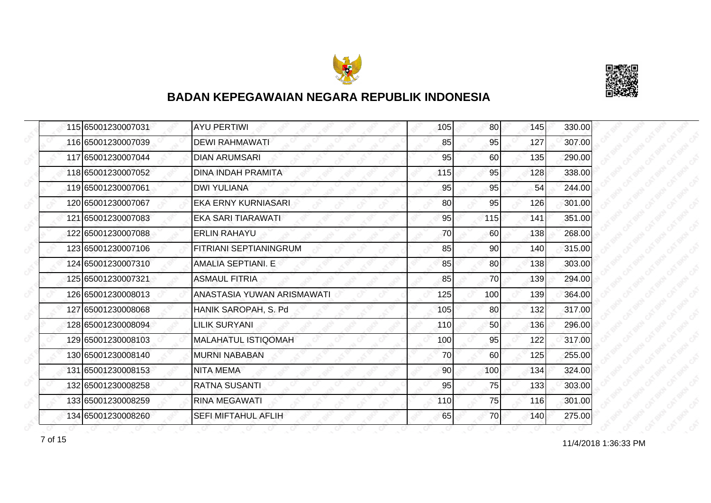



|  | 115 65001230007031 | <b>AYU PERTIWI</b>            | 105 | 80  | 145 | 330.00 |
|--|--------------------|-------------------------------|-----|-----|-----|--------|
|  | 116 65001230007039 | <b>DEWI RAHMAWATI</b>         | 85  | 95  | 127 | 307.00 |
|  | 117 65001230007044 | <b>DIAN ARUMSARI</b>          | 95  | 60  | 135 | 290.00 |
|  | 118 65001230007052 | <b>DINA INDAH PRAMITA</b>     | 115 | 95  | 128 | 338.00 |
|  | 119 65001230007061 | <b>DWI YULIANA</b>            | 95  | 95  | 54  | 244.00 |
|  | 120 65001230007067 | <b>EKA ERNY KURNIASARI</b>    | 80  | 95  | 126 | 301.00 |
|  | 121 65001230007083 | <b>EKA SARI TIARAWATI</b>     | 95  | 115 | 141 | 351.00 |
|  | 122 65001230007088 | <b>ERLIN RAHAYU</b>           | 70  | 60  | 138 | 268.00 |
|  | 123 65001230007106 | <b>FITRIANI SEPTIANINGRUM</b> | 85  | 90  | 140 | 315.00 |
|  | 124 65001230007310 | <b>AMALIA SEPTIANI. E</b>     | 85  | 80  | 138 | 303.00 |
|  | 125 65001230007321 | <b>ASMAUL FITRIA</b>          | 85  | 70  | 139 | 294.00 |
|  | 126 65001230008013 | ANASTASIA YUWAN ARISMAWATI    | 125 | 100 | 139 | 364.00 |
|  | 127 65001230008068 | HANIK SAROPAH, S. Pd          | 105 | 80  | 132 | 317.00 |
|  | 128 65001230008094 | <b>LILIK SURYANI</b>          | 110 | 50  | 136 | 296.00 |
|  | 129 65001230008103 | <b>MALAHATUL ISTIQOMAH</b>    | 100 | 95  | 122 | 317.00 |
|  | 130 65001230008140 | <b>MURNI NABABAN</b>          | 70  | 60  | 125 | 255.00 |
|  | 131 65001230008153 | <b>NITA MEMA</b>              | 90  | 100 | 134 | 324.00 |
|  | 132 65001230008258 | <b>RATNA SUSANTI</b>          | 95  | 75  | 133 | 303.00 |
|  | 133 65001230008259 | <b>RINA MEGAWATI</b>          | 110 | 75  | 116 | 301.00 |
|  | 134 65001230008260 | <b>SEFI MIFTAHUL AFLIH</b>    | 65  | 70  | 140 | 275.00 |

11/4/2018 1:36:33 PM 7 of 15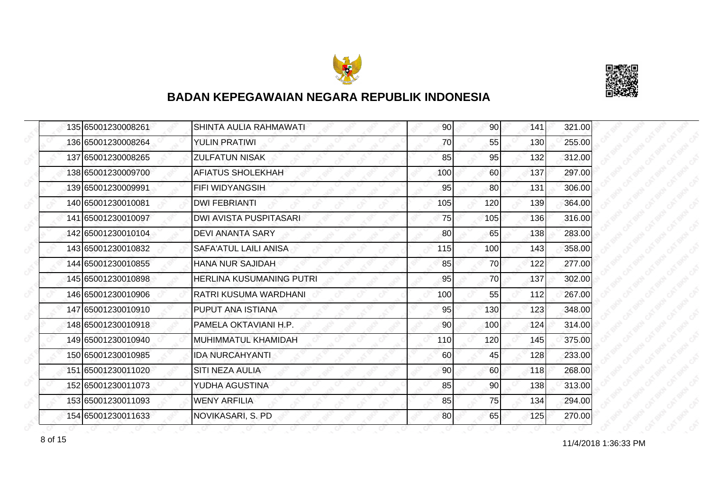



| 135 65001230008261 | SHINTA AULIA RAHMAWATI          | 90  | 90  | 141 | 321.00 |
|--------------------|---------------------------------|-----|-----|-----|--------|
| 136 65001230008264 | <b>YULIN PRATIWI</b>            | 70  | 55  | 130 | 255.00 |
| 137 65001230008265 | <b>ZULFATUN NISAK</b>           | 85  | 95  | 132 | 312.00 |
| 138 65001230009700 | <b>AFIATUS SHOLEKHAH</b>        | 100 | 60  | 137 | 297.00 |
| 139 65001230009991 | <b>FIFI WIDYANGSIH</b>          | 95  | 80  | 131 | 306.00 |
| 140 65001230010081 | <b>DWI FEBRIANTI</b>            | 105 | 120 | 139 | 364.00 |
| 141 65001230010097 | DWI AVISTA PUSPITASARI          | 75  | 105 | 136 | 316.00 |
| 142 65001230010104 | DEVI ANANTA SARY                | 80  | 65  | 138 | 283.00 |
| 143 65001230010832 | SAFA'ATUL LAILI ANISA           | 115 | 100 | 143 | 358.00 |
| 144 65001230010855 | <b>HANA NUR SAJIDAH</b>         | 85  | 70  | 122 | 277.00 |
| 145 65001230010898 | <b>HERLINA KUSUMANING PUTRI</b> | 95  | 70  | 137 | 302.00 |
| 146 65001230010906 | <b>RATRI KUSUMA WARDHANI</b>    | 100 | 55  | 112 | 267.00 |
| 147 65001230010910 | PUPUT ANA ISTIANA               | 95  | 130 | 123 | 348.00 |
| 148 65001230010918 | PAMELA OKTAVIANI H.P.           | 90  | 100 | 124 | 314.00 |
| 149 65001230010940 | MUHIMMATUL KHAMIDAH             | 110 | 120 | 145 | 375.00 |
| 150 65001230010985 | <b>IDA NURCAHYANTI</b>          | 60  | 45  | 128 | 233.00 |
| 151 65001230011020 | SITI NEZA AULIA                 | 90  | 60  | 118 | 268.00 |
| 152 65001230011073 | YUDHA AGUSTINA                  | 85  | 90  | 138 | 313.00 |
| 153 65001230011093 | <b>WENY ARFILIA</b>             | 85  | 75  | 134 | 294.00 |
| 154 65001230011633 | NOVIKASARI, S. PD               | 80  | 65  | 125 | 270.00 |

8 of 15 **11/4/2018 1:36:33 PM**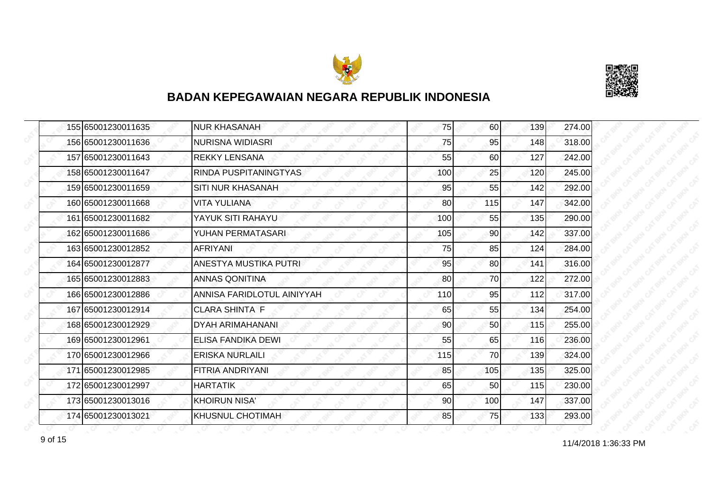



|  | 155 65001230011635 | <b>NUR KHASANAH</b>          | 75  | 60  | 139 | 274.00 |
|--|--------------------|------------------------------|-----|-----|-----|--------|
|  | 156 65001230011636 | <b>NURISNA WIDIASRI</b>      | 75  | 95  | 148 | 318.00 |
|  | 157 65001230011643 | <b>REKKY LENSANA</b>         | 55  | 60  | 127 | 242.00 |
|  | 158 65001230011647 | RINDA PUSPITANINGTYAS        | 100 | 25  | 120 | 245.00 |
|  | 159 65001230011659 | SITI NUR KHASANAH            | 95  | 55  | 142 | 292.00 |
|  | 160 65001230011668 | <b>VITA YULIANA</b>          | 80  | 115 | 147 | 342.00 |
|  | 161 65001230011682 | YAYUK SITI RAHAYU            | 100 | 55  | 135 | 290.00 |
|  | 162 65001230011686 | YUHAN PERMATASARI            | 105 | 90  | 142 | 337.00 |
|  | 163165001230012852 | <b>AFRIYANI</b>              | 75  | 85  | 124 | 284.00 |
|  | 164 65001230012877 | <b>ANESTYA MUSTIKA PUTRI</b> | 95  | 80  | 141 | 316.00 |
|  | 165 65001230012883 | <b>ANNAS QONITINA</b>        | 80  | 70  | 122 | 272.00 |
|  | 166 65001230012886 | ANNISA FARIDLOTUL AINIYYAH   | 110 | 95  | 112 | 317.00 |
|  | 167 65001230012914 | <b>CLARA SHINTA F</b>        | 65  | 55  | 134 | 254.00 |
|  | 168 65001230012929 | <b>DYAH ARIMAHANANI</b>      | 90  | 50  | 115 | 255.00 |
|  | 169 65001230012961 | ELISA FANDIKA DEWI           | 55  | 65  | 116 | 236.00 |
|  | 170 65001230012966 | <b>ERISKA NURLAILI</b>       | 115 | 70  | 139 | 324.00 |
|  | 171 65001230012985 | <b>FITRIA ANDRIYANI</b>      | 85  | 105 | 135 | 325.00 |
|  | 172 65001230012997 | <b>HARTATIK</b>              | 65  | 50  | 115 | 230.00 |
|  | 173 65001230013016 | <b>KHOIRUN NISA'</b>         | 90  | 100 | 147 | 337.00 |
|  | 174 65001230013021 | <b>KHUSNUL CHOTIMAH</b>      | 85  | 75  | 133 | 293.00 |

11/4/2018 1:36:33 PM 9 of 15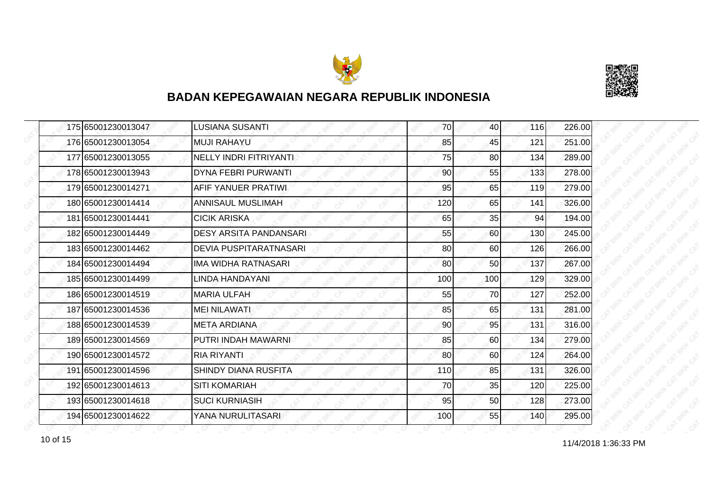



|  | 175 65001230013047 | <b>LUSIANA SUSANTI</b>        | 70  | 40              | 116 | 226.00 |
|--|--------------------|-------------------------------|-----|-----------------|-----|--------|
|  | 176 65001230013054 | <b>MUJI RAHAYU</b>            | 85  | 45              | 121 | 251.00 |
|  | 177 65001230013055 | <b>NELLY INDRI FITRIYANTI</b> | 75  | 80              | 134 | 289.00 |
|  | 178 65001230013943 | <b>DYNA FEBRI PURWANTI</b>    | 90  | 55              | 133 | 278.00 |
|  | 179 65001230014271 | AFIF YANUER PRATIWI           | 95  | 65              | 119 | 279.00 |
|  | 180 65001230014414 | ANNISAUL MUSLIMAH             | 120 | 65              | 141 | 326.00 |
|  | 181 65001230014441 | <b>CICIK ARISKA</b>           | 65  | 35              | 94  | 194.00 |
|  | 182 65001230014449 | <b>DESY ARSITA PANDANSARI</b> | 55  | 60              | 130 | 245.00 |
|  | 183 65001230014462 | <b>DEVIA PUSPITARATNASARI</b> | 80  | 60              | 126 | 266.00 |
|  | 184 65001230014494 | IMA WIDHA RATNASARI           | 80  | 50 <sub>l</sub> | 137 | 267.00 |
|  | 185 65001230014499 | LINDA HANDAYANI               | 100 | 100             | 129 | 329.00 |
|  | 186 65001230014519 | <b>MARIA ULFAH</b>            | 55  | 70              | 127 | 252.00 |
|  | 187 65001230014536 | <b>MEI NILAWATI</b>           | 85  | 65              | 131 | 281.00 |
|  | 188 65001230014539 | <b>META ARDIANA</b>           | 90  | 95              | 131 | 316.00 |
|  | 189 65001230014569 | PUTRI INDAH MAWARNI           | 85  | 60              | 134 | 279.00 |
|  | 190 65001230014572 | <b>RIA RIYANTI</b>            | 80  | 60              | 124 | 264.00 |
|  | 191 65001230014596 | <b>SHINDY DIANA RUSFITA</b>   | 110 | 85              | 131 | 326.00 |
|  | 192 65001230014613 | <b>SITI KOMARIAH</b>          | 70  | 35              | 120 | 225.00 |
|  | 193 65001230014618 | <b>SUCI KURNIASIH</b>         | 95  | 50              | 128 | 273.00 |
|  | 194 65001230014622 | YANA NURULITASARI             | 100 | 55              | 140 | 295.00 |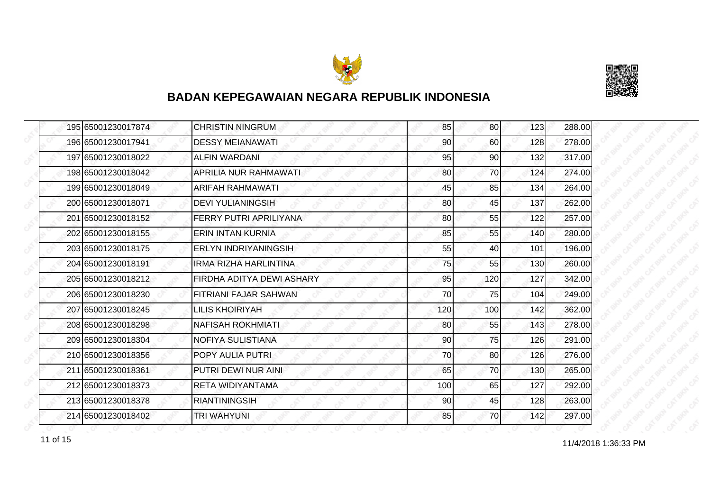



|  | 195 65001230017874 | <b>CHRISTIN NINGRUM</b>      | 85  | 80              | 123 | 288.00 |
|--|--------------------|------------------------------|-----|-----------------|-----|--------|
|  | 196 65001230017941 | <b>DESSY MEIANAWATI</b>      | 90  | 60              | 128 | 278.00 |
|  | 197 65001230018022 | <b>ALFIN WARDANI</b>         | 95  | 90 <sub>0</sub> | 132 | 317.00 |
|  | 198 65001230018042 | <b>APRILIA NUR RAHMAWATI</b> | 80  | 70              | 124 | 274.00 |
|  | 199 65001230018049 | <b>ARIFAH RAHMAWATI</b>      | 45  | 85              | 134 | 264.00 |
|  | 200 65001230018071 | <b>DEVI YULIANINGSIH</b>     | 80  | 45              | 137 | 262.00 |
|  | 201 65001230018152 | FERRY PUTRI APRILIYANA       | 80  | 55              | 122 | 257.00 |
|  | 202 65001230018155 | <b>ERIN INTAN KURNIA</b>     | 85  | 55              | 140 | 280.00 |
|  | 203165001230018175 | <b>ERLYN INDRIYANINGSIH</b>  | 55  | 40              | 101 | 196.00 |
|  | 204 65001230018191 | <b>IRMA RIZHA HARLINTINA</b> | 75  | 55              | 130 | 260.00 |
|  | 205 65001230018212 | FIRDHA ADITYA DEWI ASHARY    | 95  | 120             | 127 | 342.00 |
|  | 206165001230018230 | FITRIANI FAJAR SAHWAN        | 70  | 75              | 104 | 249.00 |
|  | 207 65001230018245 | <b>LILIS KHOIRIYAH</b>       | 120 | 100             | 142 | 362.00 |
|  | 208 65001230018298 | <b>NAFISAH ROKHMIATI</b>     | 80  | 55              | 143 | 278.00 |
|  | 209165001230018304 | NOFIYA SULISTIANA            | 90  | 75              | 126 | 291.00 |
|  | 210 65001230018356 | POPY AULIA PUTRI             | 70  | 80 <sup>1</sup> | 126 | 276.00 |
|  | 211 65001230018361 | PUTRI DEWI NUR AINI          | 65  | 70              | 130 | 265.00 |
|  | 212 65001230018373 | RETA WIDIYANTAMA             | 100 | 65              | 127 | 292.00 |
|  | 213 65001230018378 | <b>RIANTININGSIH</b>         | 90  | 45              | 128 | 263.00 |
|  | 214 65001230018402 | <b>TRI WAHYUNI</b>           | 85  | 70              | 142 | 297.00 |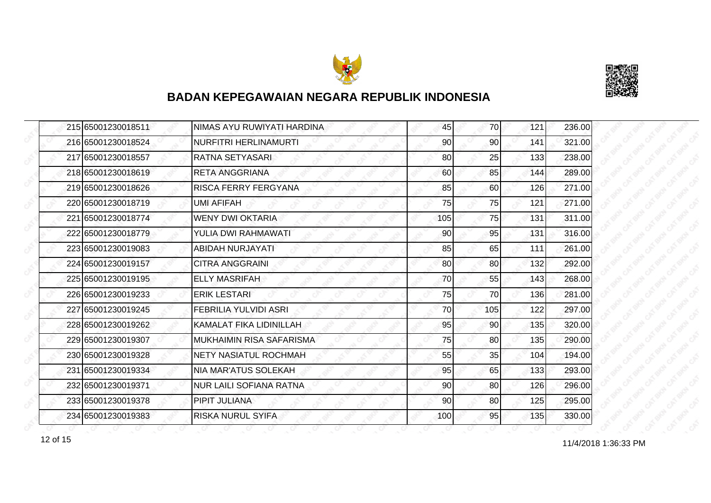



| 215 65001230018511 | NIMAS AYU RUWIYATI HARDINA     | 45  | 70              | 121 | 236.00 |
|--------------------|--------------------------------|-----|-----------------|-----|--------|
| 216 65001230018524 | NURFITRI HERLINAMURTI          | 90  | 90              | 141 | 321.00 |
| 217 65001230018557 | RATNA SETYASARI                | 80  | 25              | 133 | 238.00 |
| 218 65001230018619 | <b>RETA ANGGRIANA</b>          | 60  | 85              | 144 | 289.00 |
| 219 65001230018626 | RISCA FERRY FERGYANA           | 85  | 60              | 126 | 271.00 |
| 220165001230018719 | <b>UMI AFIFAH</b>              | 75  | 75              | 121 | 271.00 |
| 221 65001230018774 | <b>WENY DWI OKTARIA</b>        | 105 | 75              | 131 | 311.00 |
| 222 65001230018779 | YULIA DWI RAHMAWATI            | 90  | 95              | 131 | 316.00 |
| 223 65001230019083 | ABIDAH NURJAYATI               | 85  | 65              | 111 | 261.00 |
| 224 65001230019157 | <b>CITRA ANGGRAINI</b>         | 80  | 80              | 132 | 292.00 |
| 225 65001230019195 | <b>ELLY MASRIFAH</b>           | 70  | 55              | 143 | 268.00 |
| 226165001230019233 | <b>ERIK LESTARI</b>            | 75  | 70              | 136 | 281.00 |
| 227 65001230019245 | <b>FEBRILIA YULVIDI ASRI</b>   | 70  | 105             | 122 | 297.00 |
| 228 65001230019262 | KAMALAT FIKA LIDINILLAH        | 95  | 90 <sub>0</sub> | 135 | 320.00 |
| 229165001230019307 | IMUKHAIMIN RISA SAFARISMA      | 75  | 80              | 135 | 290.00 |
| 230 65001230019328 | <b>NETY NASIATUL ROCHMAH</b>   | 55  | 35              | 104 | 194.00 |
| 231 65001230019334 | <b>NIA MAR'ATUS SOLEKAH</b>    | 95  | 65              | 133 | 293.00 |
| 232165001230019371 | <b>NUR LAILI SOFIANA RATNA</b> | 90  | 80              | 126 | 296.00 |
| 233 65001230019378 | PIPIT JULIANA                  | 90  | 80              | 125 | 295.00 |
| 234 65001230019383 | <b>RISKA NURUL SYIFA</b>       | 100 | 95              | 135 | 330.00 |

12 of 15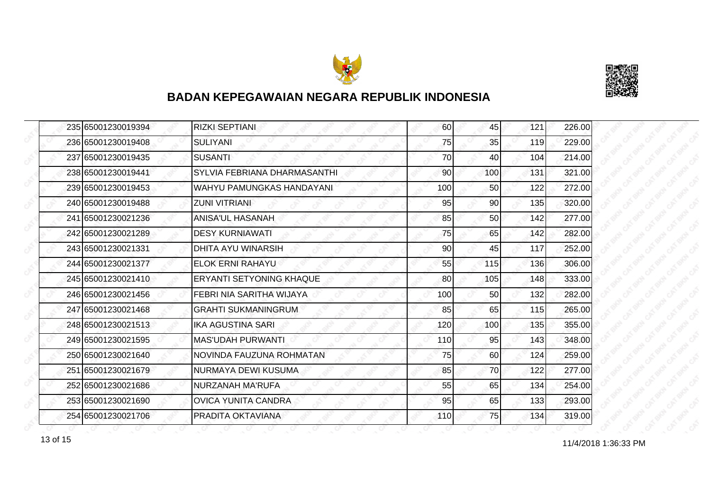



| 235 65001230019394 | <b>RIZKI SEPTIANI</b>           | 60  | 45  | 121 | 226.00 |
|--------------------|---------------------------------|-----|-----|-----|--------|
| 236 65001230019408 | <b>SULIYANI</b>                 | 75  | 35  | 119 | 229.00 |
| 237165001230019435 | <b>SUSANTI</b>                  | 70  | 40  | 104 | 214.00 |
| 238 65001230019441 | SYLVIA FEBRIANA DHARMASANTHI    | 90  | 100 | 131 | 321.00 |
| 239 65001230019453 | WAHYU PAMUNGKAS HANDAYANI       | 100 | 50  | 122 | 272.00 |
| 240 65001230019488 | <b>ZUNI VITRIANI</b>            | 95  | 90  | 135 | 320.00 |
| 241 65001230021236 | <b>ANISA'UL HASANAH</b>         | 85  | 50  | 142 | 277.00 |
| 242 65001230021289 | <b>DESY KURNIAWATI</b>          | 75  | 65  | 142 | 282.00 |
| 243 65001230021331 | <b>DHITA AYU WINARSIH</b>       | 90  | 45  | 117 | 252.00 |
| 244 65001230021377 | <b>ELOK ERNI RAHAYU</b>         | 55  | 115 | 136 | 306.00 |
| 245 65001230021410 | <b>ERYANTI SETYONING KHAQUE</b> | 80  | 105 | 148 | 333.00 |
| 246 65001230021456 | FEBRI NIA SARITHA WIJAYA        | 100 | 50  | 132 | 282.00 |
| 247 65001230021468 | <b>GRAHTI SUKMANINGRUM</b>      | 85  | 65  | 115 | 265.00 |
| 248 65001230021513 | IKA AGUSTINA SARI               | 120 | 100 | 135 | 355.00 |
| 249 65001230021595 | <b>MAS'UDAH PURWANTI</b>        | 110 | 95  | 143 | 348.00 |
| 250 65001230021640 | NOVINDA FAUZUNA ROHMATAN        | 75  | 60  | 124 | 259.00 |
| 251 65001230021679 | NURMAYA DEWI KUSUMA             | 85  | 70  | 122 | 277.00 |
| 252165001230021686 | NURZANAH MA'RUFA                | 55  | 65  | 134 | 254.00 |
| 253 65001230021690 | <b>OVICA YUNITA CANDRA</b>      | 95  | 65  | 133 | 293.00 |
| 254 65001230021706 | PRADITA OKTAVIANA               | 110 | 75  | 134 | 319.00 |

13 of 15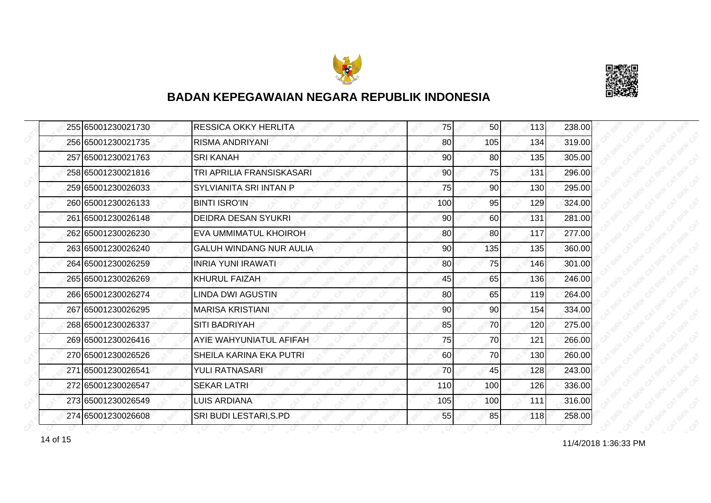



|  | 255 65001230021730 | <b>RESSICA OKKY HERLITA</b>    | 75  | 50 <sub>l</sub> | 113 | 238.00 |
|--|--------------------|--------------------------------|-----|-----------------|-----|--------|
|  | 256 65001230021735 | <b>RISMA ANDRIYANI</b>         | 80  | 105             | 134 | 319.00 |
|  | 257 65001230021763 | <b>SRI KANAH</b>               | 90  | 80              | 135 | 305.00 |
|  | 258 65001230021816 | TRI APRILIA FRANSISKASARI      | 90  | 75              | 131 | 296.00 |
|  | 259 65001230026033 | SYLVIANITA SRI INTAN P         | 75  | 90              | 130 | 295.00 |
|  | 260 65001230026133 | <b>BINTI ISRO'IN</b>           | 100 | 95              | 129 | 324.00 |
|  | 261 65001230026148 | <b>DEIDRA DESAN SYUKRI</b>     | 90  | 60              | 131 | 281.00 |
|  | 262 65001230026230 | EVA UMMIMATUL KHOIROH          | 80  | 80              | 117 | 277.00 |
|  | 263165001230026240 | <b>GALUH WINDANG NUR AULIA</b> | 90  | 135             | 135 | 360.00 |
|  | 264 65001230026259 | <b>INRIA YUNI IRAWATI</b>      | 80  | 75              | 146 | 301.00 |
|  | 265 65001230026269 | KHURUL FAIZAH                  | 45  | 65              | 136 | 246.00 |
|  | 266 65001230026274 | <b>LINDA DWI AGUSTIN</b>       | 80  | 65              | 119 | 264.00 |
|  | 267 65001230026295 | <b>MARISA KRISTIANI</b>        | 90  | 90              | 154 | 334.00 |
|  | 268 65001230026337 | <b>SITI BADRIYAH</b>           | 85  | 70              | 120 | 275.00 |
|  | 269 65001230026416 | AYIE WAHYUNIATUL AFIFAH        | 75  | 70              | 121 | 266.00 |
|  | 270 65001230026526 | SHEILA KARINA EKA PUTRI        | 60  | 70              | 130 | 260.00 |
|  | 271 65001230026541 | <b>YULI RATNASARI</b>          | 70  | 45              | 128 | 243.00 |
|  | 272165001230026547 | <b>SEKAR LATRI</b>             | 110 | 100             | 126 | 336.00 |
|  | 273 65001230026549 | <b>LUIS ARDIANA</b>            | 105 | 100             | 111 | 316.00 |
|  | 274 65001230026608 | SRI BUDI LESTARI, S.PD         | 55  | 85              | 118 | 258.00 |